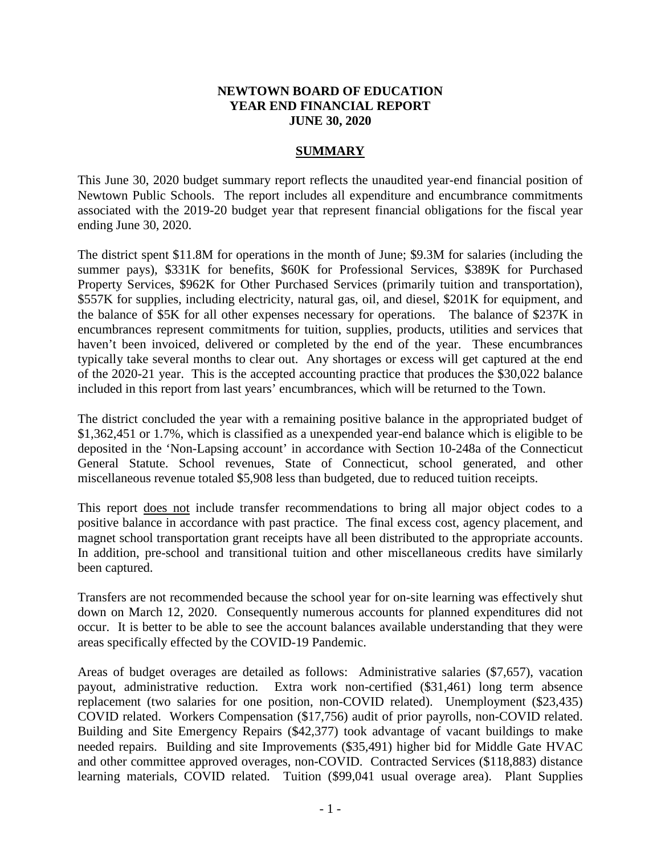## **NEWTOWN BOARD OF EDUCATION YEAR END FINANCIAL REPORT JUNE 30, 2020**

## **SUMMARY**

This June 30, 2020 budget summary report reflects the unaudited year-end financial position of Newtown Public Schools. The report includes all expenditure and encumbrance commitments associated with the 2019-20 budget year that represent financial obligations for the fiscal year ending June 30, 2020.

The district spent \$11.8M for operations in the month of June; \$9.3M for salaries (including the summer pays), \$331K for benefits, \$60K for Professional Services, \$389K for Purchased Property Services, \$962K for Other Purchased Services (primarily tuition and transportation), \$557K for supplies, including electricity, natural gas, oil, and diesel, \$201K for equipment, and the balance of \$5K for all other expenses necessary for operations. The balance of \$237K in encumbrances represent commitments for tuition, supplies, products, utilities and services that haven't been invoiced, delivered or completed by the end of the year. These encumbrances typically take several months to clear out. Any shortages or excess will get captured at the end of the 2020-21 year. This is the accepted accounting practice that produces the \$30,022 balance included in this report from last years' encumbrances, which will be returned to the Town.

The district concluded the year with a remaining positive balance in the appropriated budget of \$1,362,451 or 1.7%, which is classified as a unexpended year-end balance which is eligible to be deposited in the 'Non-Lapsing account' in accordance with Section 10-248a of the Connecticut General Statute. School revenues, State of Connecticut, school generated, and other miscellaneous revenue totaled \$5,908 less than budgeted, due to reduced tuition receipts.

This report does not include transfer recommendations to bring all major object codes to a positive balance in accordance with past practice. The final excess cost, agency placement, and magnet school transportation grant receipts have all been distributed to the appropriate accounts. In addition, pre-school and transitional tuition and other miscellaneous credits have similarly been captured.

Transfers are not recommended because the school year for on-site learning was effectively shut down on March 12, 2020. Consequently numerous accounts for planned expenditures did not occur. It is better to be able to see the account balances available understanding that they were areas specifically effected by the COVID-19 Pandemic.

Areas of budget overages are detailed as follows: Administrative salaries (\$7,657), vacation payout, administrative reduction. Extra work non-certified (\$31,461) long term absence replacement (two salaries for one position, non-COVID related). Unemployment (\$23,435) COVID related. Workers Compensation (\$17,756) audit of prior payrolls, non-COVID related. Building and Site Emergency Repairs (\$42,377) took advantage of vacant buildings to make needed repairs. Building and site Improvements (\$35,491) higher bid for Middle Gate HVAC and other committee approved overages, non-COVID. Contracted Services (\$118,883) distance learning materials, COVID related. Tuition (\$99,041 usual overage area). Plant Supplies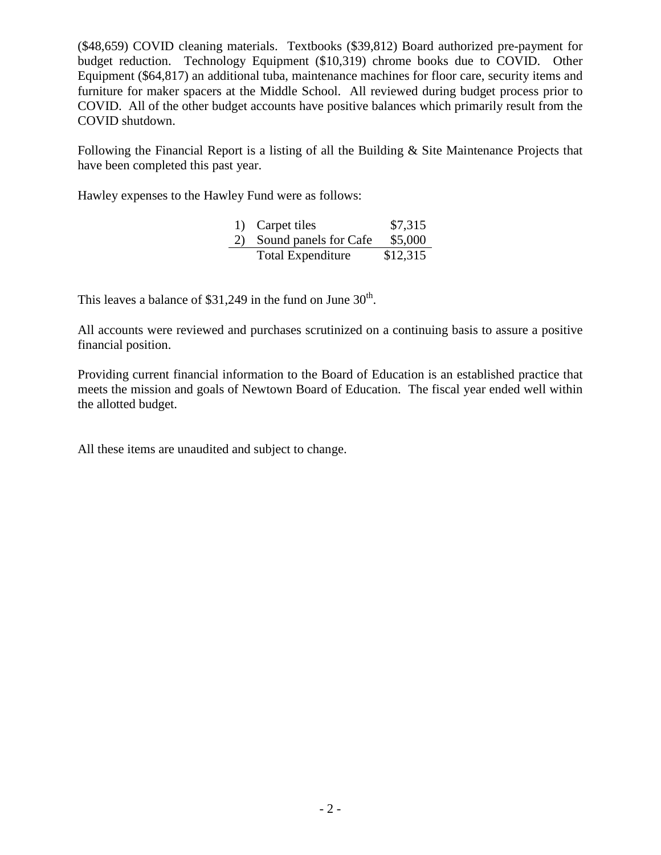(\$48,659) COVID cleaning materials. Textbooks (\$39,812) Board authorized pre-payment for budget reduction. Technology Equipment (\$10,319) chrome books due to COVID. Other Equipment (\$64,817) an additional tuba, maintenance machines for floor care, security items and furniture for maker spacers at the Middle School. All reviewed during budget process prior to COVID. All of the other budget accounts have positive balances which primarily result from the COVID shutdown.

Following the Financial Report is a listing of all the Building & Site Maintenance Projects that have been completed this past year.

Hawley expenses to the Hawley Fund were as follows:

|    | 1) Carpet tiles          | \$7,315  |
|----|--------------------------|----------|
| 2) | Sound panels for Cafe    | \$5,000  |
|    | <b>Total Expenditure</b> | \$12,315 |

This leaves a balance of  $$31,249$  in the fund on June  $30<sup>th</sup>$ .

All accounts were reviewed and purchases scrutinized on a continuing basis to assure a positive financial position.

Providing current financial information to the Board of Education is an established practice that meets the mission and goals of Newtown Board of Education. The fiscal year ended well within the allotted budget.

All these items are unaudited and subject to change.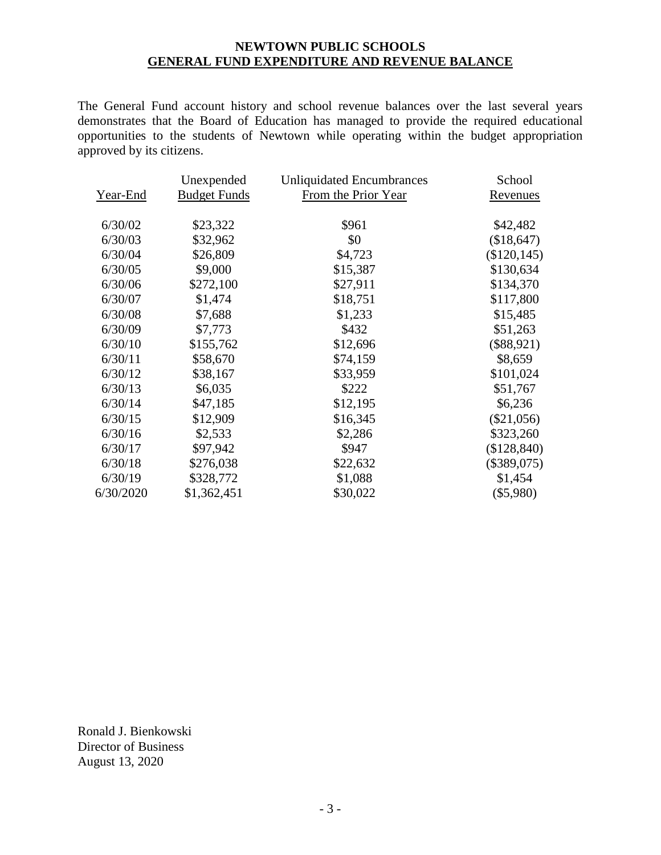## **NEWTOWN PUBLIC SCHOOLS GENERAL FUND EXPENDITURE AND REVENUE BALANCE**

The General Fund account history and school revenue balances over the last several years demonstrates that the Board of Education has managed to provide the required educational opportunities to the students of Newtown while operating within the budget appropriation approved by its citizens.

|           | Unexpended          | <b>Unliquidated Encumbrances</b> | School          |
|-----------|---------------------|----------------------------------|-----------------|
| Year-End  | <b>Budget Funds</b> | From the Prior Year              | <u>Revenues</u> |
| 6/30/02   | \$23,322            | \$961                            | \$42,482        |
| 6/30/03   | \$32,962            | \$0                              | (\$18,647)      |
| 6/30/04   | \$26,809            | \$4,723                          | $(\$120, 145)$  |
| 6/30/05   | \$9,000             | \$15,387                         | \$130,634       |
| 6/30/06   | \$272,100           | \$27,911                         | \$134,370       |
| 6/30/07   | \$1,474             | \$18,751                         | \$117,800       |
| 6/30/08   | \$7,688             | \$1,233                          | \$15,485        |
| 6/30/09   | \$7,773             | \$432                            | \$51,263        |
| 6/30/10   | \$155,762           | \$12,696                         | $(\$88,921)$    |
| 6/30/11   | \$58,670            | \$74,159                         | \$8,659         |
| 6/30/12   | \$38,167            | \$33,959                         | \$101,024       |
| 6/30/13   | \$6,035             | \$222                            | \$51,767        |
| 6/30/14   | \$47,185            | \$12,195                         | \$6,236         |
| 6/30/15   | \$12,909            | \$16,345                         | $(\$21,056)$    |
| 6/30/16   | \$2,533             | \$2,286                          | \$323,260       |
| 6/30/17   | \$97,942            | \$947                            | (\$128,840)     |
| 6/30/18   | \$276,038           | \$22,632                         | $(\$389,075)$   |
| 6/30/19   | \$328,772           | \$1,088                          | \$1,454         |
| 6/30/2020 | \$1,362,451         | \$30,022                         | $(\$5,980)$     |

Ronald J. Bienkowski Director of Business August 13, 2020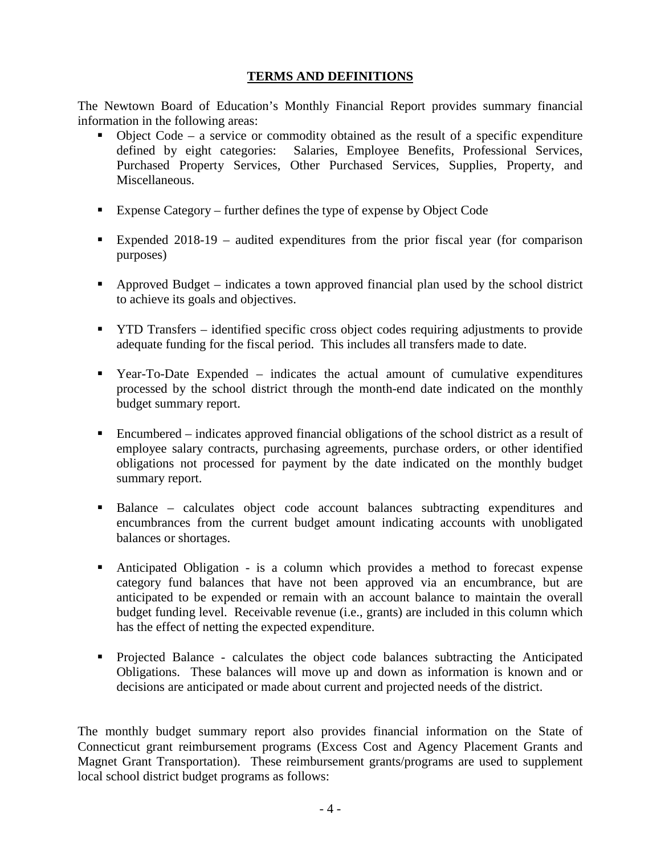# **TERMS AND DEFINITIONS**

The Newtown Board of Education's Monthly Financial Report provides summary financial information in the following areas:

- Object Code a service or commodity obtained as the result of a specific expenditure defined by eight categories: Salaries, Employee Benefits, Professional Services, Purchased Property Services, Other Purchased Services, Supplies, Property, and Miscellaneous.
- Expense Category further defines the type of expense by Object Code
- Expended 2018-19 audited expenditures from the prior fiscal year (for comparison purposes)
- Approved Budget indicates a town approved financial plan used by the school district to achieve its goals and objectives.
- **TYTD Transfers** identified specific cross object codes requiring adjustments to provide adequate funding for the fiscal period. This includes all transfers made to date.
- Year-To-Date Expended indicates the actual amount of cumulative expenditures processed by the school district through the month-end date indicated on the monthly budget summary report.
- Encumbered indicates approved financial obligations of the school district as a result of employee salary contracts, purchasing agreements, purchase orders, or other identified obligations not processed for payment by the date indicated on the monthly budget summary report.
- Balance calculates object code account balances subtracting expenditures and encumbrances from the current budget amount indicating accounts with unobligated balances or shortages.
- Anticipated Obligation is a column which provides a method to forecast expense category fund balances that have not been approved via an encumbrance, but are anticipated to be expended or remain with an account balance to maintain the overall budget funding level. Receivable revenue (i.e., grants) are included in this column which has the effect of netting the expected expenditure.
- Projected Balance calculates the object code balances subtracting the Anticipated Obligations. These balances will move up and down as information is known and or decisions are anticipated or made about current and projected needs of the district.

The monthly budget summary report also provides financial information on the State of Connecticut grant reimbursement programs (Excess Cost and Agency Placement Grants and Magnet Grant Transportation). These reimbursement grants/programs are used to supplement local school district budget programs as follows: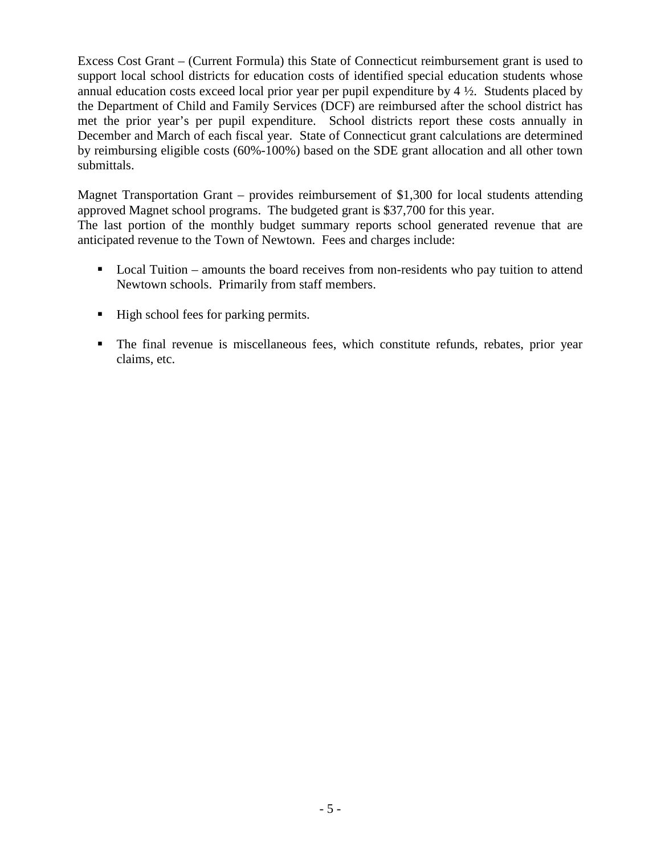Excess Cost Grant – (Current Formula) this State of Connecticut reimbursement grant is used to support local school districts for education costs of identified special education students whose annual education costs exceed local prior year per pupil expenditure by 4 ½. Students placed by the Department of Child and Family Services (DCF) are reimbursed after the school district has met the prior year's per pupil expenditure. School districts report these costs annually in December and March of each fiscal year. State of Connecticut grant calculations are determined by reimbursing eligible costs (60%-100%) based on the SDE grant allocation and all other town submittals.

Magnet Transportation Grant – provides reimbursement of \$1,300 for local students attending approved Magnet school programs. The budgeted grant is \$37,700 for this year. The last portion of the monthly budget summary reports school generated revenue that are anticipated revenue to the Town of Newtown. Fees and charges include:

- Local Tuition amounts the board receives from non-residents who pay tuition to attend Newtown schools. Primarily from staff members.
- High school fees for parking permits.
- The final revenue is miscellaneous fees, which constitute refunds, rebates, prior year claims, etc.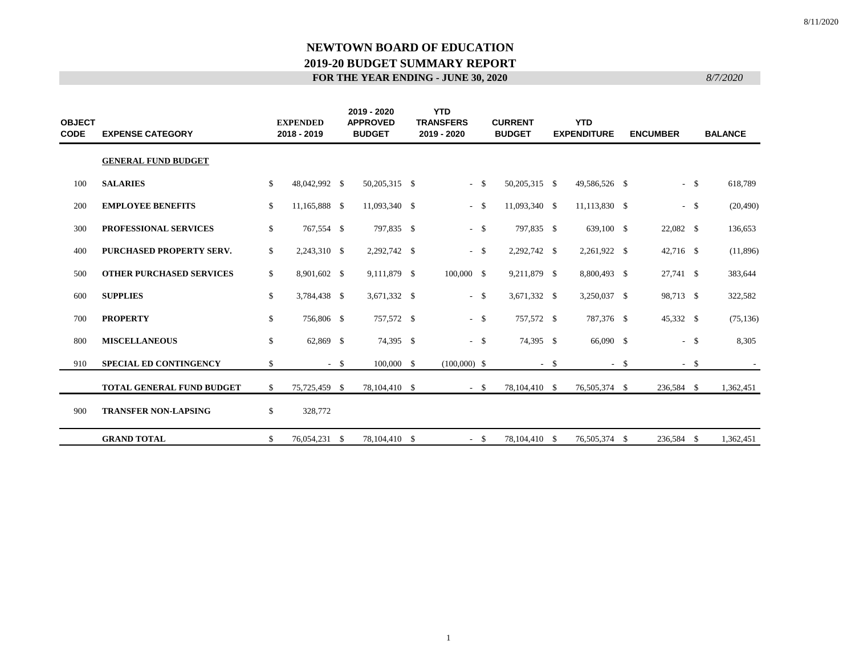| <b>OBJECT</b><br><b>CODE</b> | <b>EXPENSE CATEGORY</b>          |               | <b>EXPENDED</b><br>2018 - 2019 |      | 2019 - 2020<br><b>APPROVED</b><br><b>BUDGET</b> | <b>YTD</b><br><b>TRANSFERS</b><br>2019 - 2020 |        | <b>CURRENT</b><br><b>BUDGET</b> |        | <b>YTD</b><br><b>EXPENDITURE</b> |        | <b>ENCUMBER</b> |        | <b>BALANCE</b> |
|------------------------------|----------------------------------|---------------|--------------------------------|------|-------------------------------------------------|-----------------------------------------------|--------|---------------------------------|--------|----------------------------------|--------|-----------------|--------|----------------|
|                              | <b>GENERAL FUND BUDGET</b>       |               |                                |      |                                                 |                                               |        |                                 |        |                                  |        |                 |        |                |
| 100                          | <b>SALARIES</b>                  | $\mathbb{S}$  | 48,042,992 \$                  |      | 50,205,315 \$                                   |                                               | $-$ \$ | 50,205,315 \$                   |        | 49,586,526 \$                    |        |                 | $-$ \$ | 618,789        |
| 200                          | <b>EMPLOYEE BENEFITS</b>         | <sup>\$</sup> | 11,165,888 \$                  |      | 11,093,340 \$                                   |                                               | $-5$   | 11,093,340 \$                   |        | 11,113,830 \$                    |        |                 | $-$ \$ | (20, 490)      |
| 300                          | PROFESSIONAL SERVICES            | \$            | 767,554 \$                     |      | 797,835 \$                                      |                                               | $-$ \$ | 797,835 \$                      |        | 639,100 \$                       |        | 22,082 \$       |        | 136,653        |
| 400                          | PURCHASED PROPERTY SERV.         | \$            | 2,243,310 \$                   |      | 2,292,742 \$                                    |                                               | $-$ \$ | 2,292,742 \$                    |        | 2,261,922 \$                     |        | $42,716$ \$     |        | (11,896)       |
| 500                          | <b>OTHER PURCHASED SERVICES</b>  | \$            | 8,901,602 \$                   |      | 9,111,879 \$                                    | 100,000 \$                                    |        | 9,211,879 \$                    |        | 8,800,493 \$                     |        | 27,741 \$       |        | 383,644        |
| 600                          | <b>SUPPLIES</b>                  | \$            | 3,784,438 \$                   |      | 3,671,332 \$                                    |                                               | $-$ \$ | 3,671,332 \$                    |        | 3,250,037 \$                     |        | 98,713 \$       |        | 322,582        |
| 700                          | <b>PROPERTY</b>                  | \$            | 756,806 \$                     |      | 757,572 \$                                      |                                               | $-$ \$ | 757,572 \$                      |        | 787,376 \$                       |        | 45,332 \$       |        | (75, 136)      |
| 800                          | <b>MISCELLANEOUS</b>             | \$            | 62,869 \$                      |      | 74,395 \$                                       |                                               | $-$ \$ | 74,395 \$                       |        | 66,090 \$                        |        |                 | $-$ \$ | 8,305          |
| 910                          | <b>SPECIAL ED CONTINGENCY</b>    | \$            |                                | $-5$ | $100,000$ \$                                    | $(100,000)$ \$                                |        |                                 | $-$ \$ |                                  | $-$ \$ |                 | $-$ \$ |                |
|                              | <b>TOTAL GENERAL FUND BUDGET</b> | <sup>\$</sup> | 75,725,459 \$                  |      | 78, 104, 410 \$                                 |                                               | $-$ \$ | 78,104,410 \$                   |        | 76,505,374 \$                    |        | 236,584 \$      |        | 1,362,451      |
| 900                          | <b>TRANSFER NON-LAPSING</b>      | \$            | 328,772                        |      |                                                 |                                               |        |                                 |        |                                  |        |                 |        |                |
|                              | <b>GRAND TOTAL</b>               | \$            | 76,054,231 \$                  |      | 78, 104, 410 \$                                 |                                               | $-$ \$ | 78,104,410 \$                   |        | 76,505,374 \$                    |        | 236,584 \$      |        | 1,362,451      |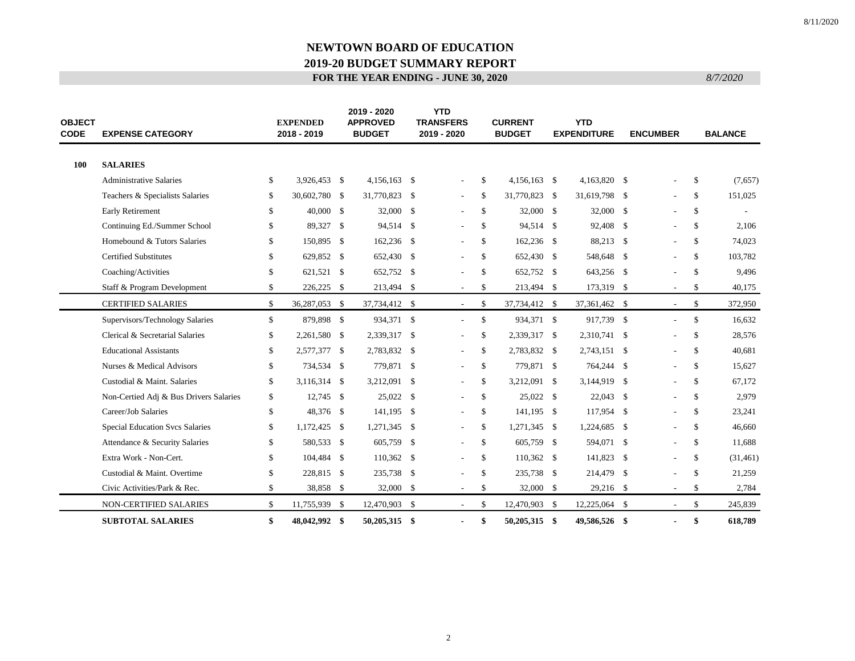| <b>OBJECT</b><br><b>CODE</b><br><b>EXPENSE CATEGORY</b> |                                        |               | <b>EXPENDED</b><br>2018 - 2019 |  | 2019 - 2020<br><b>APPROVED</b><br><b>BUDGET</b> |  | <b>YTD</b><br><b>TRANSFERS</b><br>2019 - 2020 |               | <b>CURRENT</b><br><b>BUDGET</b> | <b>YTD</b><br><b>EXPENDITURE</b> | <b>ENCUMBER</b>          |              | <b>BALANCE</b> |
|---------------------------------------------------------|----------------------------------------|---------------|--------------------------------|--|-------------------------------------------------|--|-----------------------------------------------|---------------|---------------------------------|----------------------------------|--------------------------|--------------|----------------|
| 100                                                     | <b>SALARIES</b>                        |               |                                |  |                                                 |  |                                               |               |                                 |                                  |                          |              |                |
|                                                         | <b>Administrative Salaries</b>         | \$            | 3,926,453 \$                   |  | 4,156,163 \$                                    |  | $\overline{\phantom{a}}$                      | \$            | $4,156,163$ \$                  | 4,163,820 \$                     |                          | \$           | (7,657)        |
|                                                         | Teachers & Specialists Salaries        | \$            | 30,602,780 \$                  |  | 31,770,823 \$                                   |  | $\overline{\phantom{a}}$                      | <sup>\$</sup> | 31,770,823 \$                   | 31,619,798 \$                    | $\overline{\phantom{a}}$ | \$           | 151,025        |
|                                                         | <b>Early Retirement</b>                | \$            | 40,000 \$                      |  | 32,000 \$                                       |  | $\overline{\phantom{a}}$                      | <sup>\$</sup> | 32,000 \$                       | $32,000$ \$                      |                          | S.           |                |
|                                                         | Continuing Ed./Summer School           | \$            | 89,327 \$                      |  | 94,514 \$                                       |  |                                               | <sup>\$</sup> | 94,514 \$                       | 92,408 \$                        |                          | \$           | 2,106          |
|                                                         | Homebound & Tutors Salaries            | \$            | 150,895 \$                     |  | $162,236$ \$                                    |  | $\overline{a}$                                | \$            | 162,236 \$                      | 88,213 \$                        | $\overline{a}$           | $\mathbb{S}$ | 74,023         |
|                                                         | <b>Certified Substitutes</b>           | \$            | 629,852 \$                     |  | 652,430 \$                                      |  |                                               | <sup>\$</sup> | 652,430 \$                      | 548,648 \$                       |                          | \$           | 103,782        |
|                                                         | Coaching/Activities                    | \$            | 621,521 \$                     |  | 652,752 \$                                      |  |                                               | \$            | 652,752 \$                      | 643,256 \$                       |                          | \$           | 9,496          |
|                                                         | Staff & Program Development            | \$            | $226,225$ \$                   |  | 213,494 \$                                      |  | $\sim$                                        | \$            | 213,494 \$                      | 173,319 \$                       | $\overline{\phantom{a}}$ | \$           | 40,175         |
|                                                         | <b>CERTIFIED SALARIES</b>              | <sup>\$</sup> | 36,287,053 \$                  |  | 37,734,412 \$                                   |  | $\sim$                                        | -S            | 37,734,412 \$                   | 37,361,462 \$                    | $\sim$                   | \$           | 372,950        |
|                                                         | Supervisors/Technology Salaries        | \$            | 879,898 \$                     |  | 934,371 \$                                      |  | $\sim$                                        | \$            | 934,371 \$                      | 917,739 \$                       | $\overline{\phantom{a}}$ | $\mathbb{S}$ | 16,632         |
|                                                         | Clerical & Secretarial Salaries        | \$            | 2,261,580 \$                   |  | 2,339,317 \$                                    |  | $\overline{\phantom{a}}$                      | S.            | 2,339,317 \$                    | 2,310,741 \$                     |                          | $\mathbb{S}$ | 28,576         |
|                                                         | <b>Educational Assistants</b>          | \$            | 2,577,377 \$                   |  | 2,783,832 \$                                    |  |                                               | \$            | 2,783,832 \$                    | 2,743,151 \$                     |                          | \$           | 40,681         |
|                                                         | Nurses & Medical Advisors              | \$            | 734,534 \$                     |  | 779,871 \$                                      |  | $\sim$                                        | \$            | 779,871 \$                      | 764,244 \$                       | $\overline{a}$           | $\mathbb{S}$ | 15,627         |
|                                                         | Custodial & Maint, Salaries            | \$            | 3,116,314 \$                   |  | 3,212,091 \$                                    |  |                                               | <sup>\$</sup> | 3,212,091 \$                    | 3,144,919 \$                     |                          | \$           | 67,172         |
|                                                         | Non-Certied Adj & Bus Drivers Salaries | \$            | $12,745$ \$                    |  | 25,022 \$                                       |  | $\overline{a}$                                | \$            | 25,022 \$                       | $22,043$ \$                      |                          | \$           | 2,979          |
|                                                         | Career/Job Salaries                    | \$            | 48,376 \$                      |  | 141,195 \$                                      |  | $\overline{\phantom{a}}$                      | S.            | 141,195 \$                      | 117,954 \$                       |                          | \$           | 23,241         |
|                                                         | Special Education Svcs Salaries        | \$            | 1,172,425 \$                   |  | 1,271,345 \$                                    |  |                                               | \$            | 1,271,345 \$                    | 1,224,685 \$                     |                          | \$           | 46,660         |
|                                                         | Attendance & Security Salaries         | \$            | 580,533 \$                     |  | 605,759 \$                                      |  |                                               | -S            | 605,759 \$                      | 594,071 \$                       |                          | \$           | 11,688         |
|                                                         | Extra Work - Non-Cert.                 | \$            | 104,484 \$                     |  | $110,362$ \$                                    |  |                                               | $\mathbb{S}$  | $110,362$ \$                    | 141,823 \$                       |                          | \$           | (31, 461)      |
|                                                         | Custodial & Maint. Overtime            | \$            | 228,815 \$                     |  | 235,738 \$                                      |  |                                               | \$            | 235,738 \$                      | 214,479 \$                       |                          | \$           | 21,259         |
|                                                         | Civic Activities/Park & Rec.           | \$            | 38,858 \$                      |  | 32,000 \$                                       |  | $\overline{\phantom{a}}$                      | \$            | 32,000 \$                       | 29,216 \$                        | $\overline{\phantom{a}}$ | \$           | 2,784          |
|                                                         | NON-CERTIFIED SALARIES                 | \$            | 11,755,939 \$                  |  | 12,470,903 \$                                   |  |                                               | \$            | 12,470,903 \$                   | 12,225,064 \$                    | $\sim$                   | \$           | 245,839        |
|                                                         | <b>SUBTOTAL SALARIES</b>               | \$            | 48,042,992 \$                  |  | 50,205,315 \$                                   |  | $\blacksquare$                                | \$            | 50,205,315 \$                   | 49,586,526 \$                    | $\blacksquare$           | \$           | 618,789        |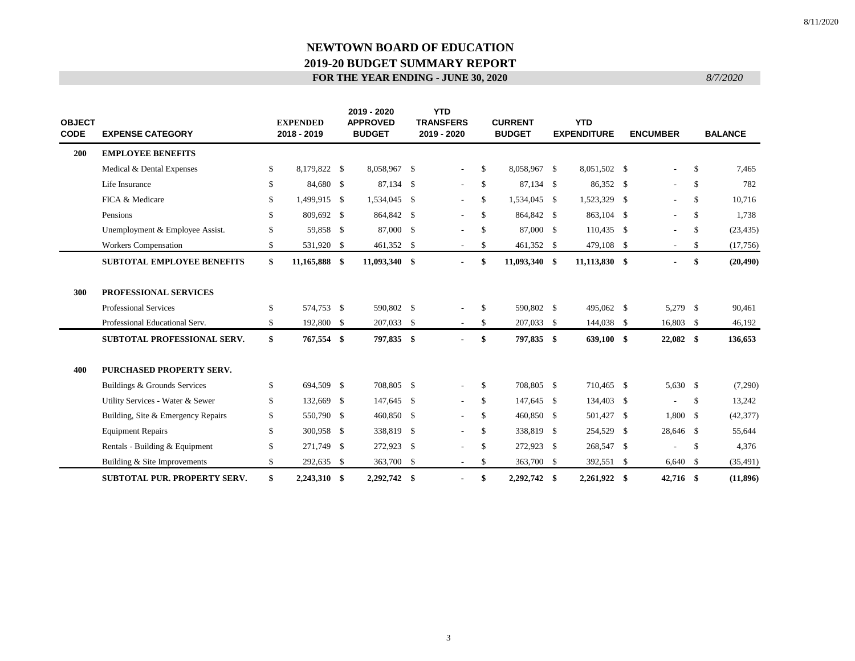| <b>OBJECT</b><br><b>CODE</b> | <b>EXPENSE CATEGORY</b>             |    | <b>EXPENDED</b><br>2018 - 2019 | 2019 - 2020<br><b>APPROVED</b><br><b>BUDGET</b> | <b>YTD</b><br><b>TRANSFERS</b><br>2019 - 2020 |               | <b>CURRENT</b><br><b>BUDGET</b> | <b>YTD</b><br><b>EXPENDITURE</b> | <b>ENCUMBER</b>          |               | <b>BALANCE</b> |
|------------------------------|-------------------------------------|----|--------------------------------|-------------------------------------------------|-----------------------------------------------|---------------|---------------------------------|----------------------------------|--------------------------|---------------|----------------|
| 200                          | <b>EMPLOYEE BENEFITS</b>            |    |                                |                                                 |                                               |               |                                 |                                  |                          |               |                |
|                              | Medical & Dental Expenses           | S. | 8,179,822 \$                   | 8,058,967 \$                                    | $\overline{\phantom{a}}$                      | \$            | 8,058,967 \$                    | 8,051,502 \$                     | $\overline{\phantom{0}}$ | <sup>\$</sup> | 7,465          |
|                              | Life Insurance                      | £. | 84,680 \$                      | 87,134 \$                                       | $\overline{\phantom{a}}$                      | <sup>\$</sup> | 87,134 \$                       | 86,352 \$                        | $\overline{\phantom{0}}$ | <sup>\$</sup> | 782            |
|                              | FICA & Medicare                     | S. | 1,499,915 \$                   | 1,534,045 \$                                    | $\overline{\phantom{a}}$                      | <sup>\$</sup> | 1,534,045 \$                    | 1,523,329 \$                     | $\overline{\phantom{0}}$ | \$            | 10,716         |
|                              | Pensions                            |    | 809,692 \$                     | 864,842 \$                                      | $\overline{\phantom{a}}$                      | -S            | 864,842 \$                      | 863,104 \$                       | $\overline{\phantom{0}}$ | \$            | 1,738          |
|                              | Unemployment & Employee Assist.     | \$ | 59,858 \$                      | 87,000 \$                                       | $\overline{\phantom{a}}$                      | -\$           | 87,000 \$                       | $110,435$ \$                     | $\overline{\phantom{0}}$ | \$            | (23, 435)      |
|                              | <b>Workers Compensation</b>         | \$ | 531,920 \$                     | 461,352 \$                                      | $\sim$                                        | \$            | 461,352 \$                      | 479,108 \$                       | $\sim$                   | \$            | (17,756)       |
|                              | <b>SUBTOTAL EMPLOYEE BENEFITS</b>   | \$ | 11,165,888 \$                  | 11,093,340 \$                                   | $\blacksquare$                                | -S            | 11,093,340 \$                   | 11,113,830 \$                    | $\blacksquare$           | \$            | (20, 490)      |
| 300                          | PROFESSIONAL SERVICES               |    |                                |                                                 |                                               |               |                                 |                                  |                          |               |                |
|                              | Professional Services               | \$ | 574,753 \$                     | 590,802 \$                                      |                                               | \$            | 590,802 \$                      | 495,062 \$                       | 5,279 \$                 |               | 90,461         |
|                              | Professional Educational Serv.      | \$ | 192,800 \$                     | 207,033 \$                                      |                                               | \$            | 207,033 \$                      | 144,038 \$                       | 16,803 \$                |               | 46,192         |
|                              | <b>SUBTOTAL PROFESSIONAL SERV.</b>  | \$ | 767,554 \$                     | 797,835 \$                                      | $\blacksquare$                                | SS.           | 797,835 \$                      | 639,100 \$                       | $22,082$ \$              |               | 136,653        |
| 400                          | PURCHASED PROPERTY SERV.            |    |                                |                                                 |                                               |               |                                 |                                  |                          |               |                |
|                              | Buildings & Grounds Services        | S. | 694,509 \$                     | 708,805 \$                                      | $\overline{\phantom{a}}$                      | -\$           | 708,805 \$                      | 710,465 \$                       | 5,630 \$                 |               | (7,290)        |
|                              | Utility Services - Water & Sewer    | \$ | 132,669 \$                     | 147,645 \$                                      | $\sim$                                        | -\$           | 147,645 \$                      | 134,403 \$                       | $\overline{\phantom{0}}$ | \$            | 13,242         |
|                              | Building, Site & Emergency Repairs  | \$ | 550,790 \$                     | 460,850 \$                                      | $\overline{\phantom{a}}$                      | \$            | 460,850 \$                      | 501,427 \$                       | $1,800$ \$               |               | (42, 377)      |
|                              | <b>Equipment Repairs</b>            | \$ | 300,958 \$                     | 338,819 \$                                      | $\overline{\phantom{a}}$                      | \$            | 338,819 \$                      | 254,529 \$                       | 28,646 \$                |               | 55,644         |
|                              | Rentals - Building & Equipment      | \$ | 271,749 \$                     | 272,923 \$                                      |                                               | \$            | 272,923 \$                      | 268,547 \$                       | $\overline{\phantom{0}}$ | \$            | 4,376          |
|                              | Building & Site Improvements        | \$ | 292,635 \$                     | 363,700 \$                                      |                                               | \$            | 363,700 \$                      | 392,551 \$                       | $6,640$ \$               |               | (35, 491)      |
|                              | <b>SUBTOTAL PUR. PROPERTY SERV.</b> | \$ | 2.243.310 \$                   | 2.292.742 \$                                    |                                               | \$            | 2.292.742 \$                    | $2,261,922$ \$                   | 42,716 \$                |               | (11, 896)      |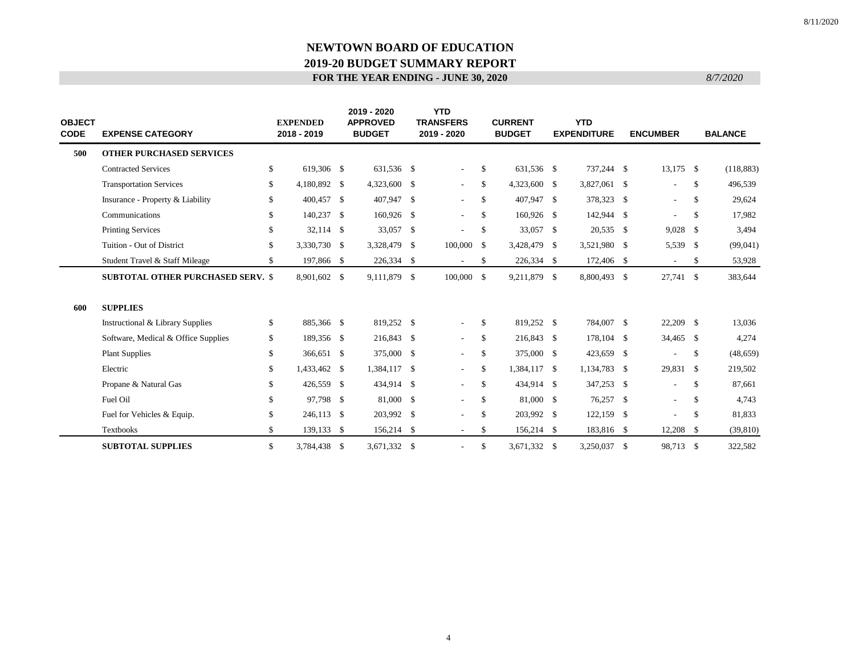| <b>OBJECT</b><br><b>CODE</b><br><b>EXPENSE CATEGORY</b> |                                          | <b>EXPENDED</b><br>2018 - 2019 |  | 2019 - 2020<br><b>APPROVED</b><br><b>BUDGET</b> |  | <b>YTD</b><br><b>TRANSFERS</b><br>2019 - 2020 |               | <b>CURRENT</b><br><b>BUDGET</b> |  | <b>YTD</b><br><b>EXPENDITURE</b> |  | <b>ENCUMBER</b>          | <b>BALANCE</b> |            |
|---------------------------------------------------------|------------------------------------------|--------------------------------|--|-------------------------------------------------|--|-----------------------------------------------|---------------|---------------------------------|--|----------------------------------|--|--------------------------|----------------|------------|
| 500                                                     | <b>OTHER PURCHASED SERVICES</b>          |                                |  |                                                 |  |                                               |               |                                 |  |                                  |  |                          |                |            |
|                                                         | <b>Contracted Services</b>               | \$<br>619,306 \$               |  | 631,536 \$                                      |  | $\sim$                                        | \$            | 631,536 \$                      |  | 737,244 \$                       |  | $13,175$ \$              |                | (118, 883) |
|                                                         | <b>Transportation Services</b>           | \$<br>4,180,892 \$             |  | 4,323,600 \$                                    |  | $\sim$                                        | -S            | 4,323,600 \$                    |  | 3,827,061 \$                     |  | $\blacksquare$           | \$             | 496,539    |
|                                                         | Insurance - Property & Liability         | \$<br>400,457 \$               |  | 407,947 \$                                      |  | $\sim$                                        | <sup>\$</sup> | 407,947 \$                      |  | 378,323 \$                       |  | $\overline{\phantom{a}}$ | \$             | 29,624     |
|                                                         | Communications                           | \$<br>140,237 \$               |  | 160,926 \$                                      |  | $\sim$                                        | -S            | 160,926 \$                      |  | 142,944 \$                       |  | $\overline{\phantom{a}}$ | \$             | 17,982     |
|                                                         | <b>Printing Services</b>                 | \$<br>32,114 \$                |  | 33,057 \$                                       |  | $\sim$                                        | -S            | 33,057 \$                       |  | $20,535$ \$                      |  | $9,028$ \$               |                | 3,494      |
|                                                         | Tuition - Out of District                | \$<br>3,330,730 \$             |  | 3,328,479 \$                                    |  | $100,000$ \$                                  |               | 3,428,479 \$                    |  | 3,521,980 \$                     |  | 5,539 \$                 |                | (99,041)   |
|                                                         | Student Travel & Staff Mileage           | \$<br>197,866 \$               |  | 226,334 \$                                      |  | $\sim$                                        | -S            | 226,334 \$                      |  | 172,406 \$                       |  | $\sim$                   | \$             | 53,928     |
|                                                         | <b>SUBTOTAL OTHER PURCHASED SERV. \$</b> | 8,901,602 \$                   |  | 9,111,879 \$                                    |  | $100,000 \quad$ \$                            |               | 9,211,879 \$                    |  | 8,800,493 \$                     |  | 27,741 \$                |                | 383,644    |
| 600                                                     | <b>SUPPLIES</b>                          |                                |  |                                                 |  |                                               |               |                                 |  |                                  |  |                          |                |            |
|                                                         | Instructional & Library Supplies         | \$<br>885,366 \$               |  | 819,252 \$                                      |  |                                               | \$            | 819,252 \$                      |  | 784,007 \$                       |  | 22,209 \$                |                | 13,036     |
|                                                         | Software, Medical & Office Supplies      | \$<br>189,356 \$               |  | 216,843 \$                                      |  | $\sim$                                        | -S            | 216,843 \$                      |  | 178,104 \$                       |  | 34,465 \$                |                | 4,274      |
|                                                         | <b>Plant Supplies</b>                    | \$<br>366,651 \$               |  | 375,000 \$                                      |  | $\sim$                                        | \$            | 375,000 \$                      |  | 423,659 \$                       |  | $\overline{\phantom{a}}$ | $\mathbb{S}$   | (48, 659)  |
|                                                         | Electric                                 | \$<br>1,433,462 \$             |  | 1,384,117 \$                                    |  | $\sim$                                        | <sup>\$</sup> | 1,384,117 \$                    |  | 1,134,783 \$                     |  | 29,831 \$                |                | 219,502    |
|                                                         | Propane & Natural Gas                    | \$<br>426,559 \$               |  | 434,914 \$                                      |  | $\sim$                                        | -S            | 434,914 \$                      |  | 347,253 \$                       |  | $\overline{\phantom{a}}$ | \$             | 87,661     |
|                                                         | Fuel Oil                                 | \$<br>97,798 \$                |  | 81,000 \$                                       |  | $\sim$                                        | <sup>\$</sup> | 81,000 \$                       |  | 76,257 \$                        |  | $\overline{\phantom{a}}$ | \$             | 4,743      |
|                                                         | Fuel for Vehicles & Equip.               | \$<br>246,113 \$               |  | 203,992 \$                                      |  |                                               | $\mathcal{S}$ | 203,992 \$                      |  | 122,159 \$                       |  |                          | $\mathbb{S}$   | 81,833     |
|                                                         | <b>Textbooks</b>                         | \$<br>139,133 \$               |  | $156,214$ \$                                    |  | $\sim$                                        | \$            | 156,214 \$                      |  | 183,816 \$                       |  | $12,208$ \$              |                | (39, 810)  |
|                                                         | <b>SUBTOTAL SUPPLIES</b>                 | \$<br>3,784,438 \$             |  | 3,671,332 \$                                    |  |                                               | \$            | 3,671,332 \$                    |  | 3,250,037 \$                     |  | 98,713 \$                |                | 322,582    |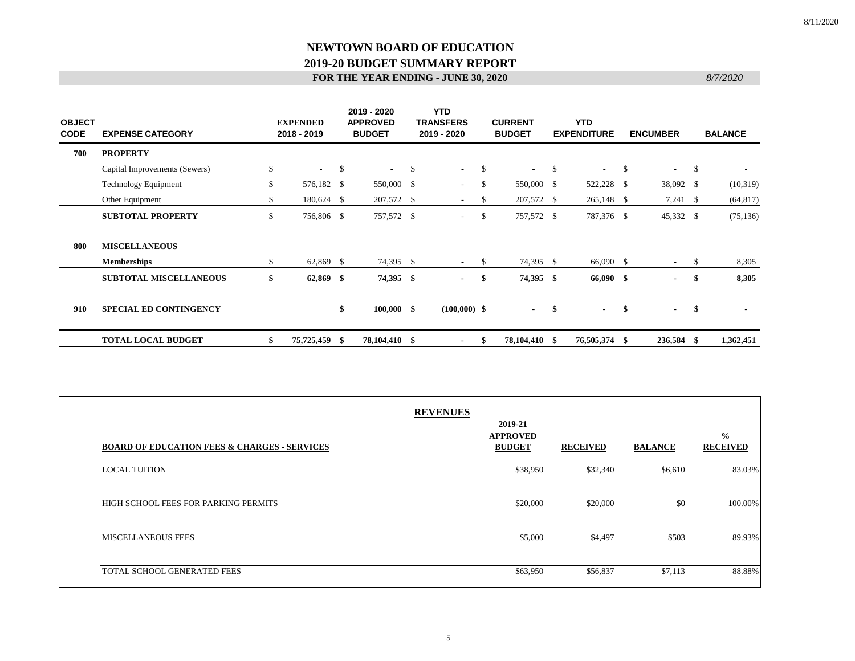| <b>OBJECT</b><br><b>CODE</b> | <b>EXPENSE CATEGORY</b>       | <b>EXPENDED</b><br>2018 - 2019 |      | 2019 - 2020<br><b>APPROVED</b><br><b>BUDGET</b> |               | <b>YTD</b><br><b>TRANSFERS</b><br>2019 - 2020 |              | <b>CURRENT</b><br><b>BUDGET</b> |              | <b>YTD</b><br><b>EXPENDITURE</b> |    | <b>ENCUMBER</b> | <b>BALANCE</b>                 |
|------------------------------|-------------------------------|--------------------------------|------|-------------------------------------------------|---------------|-----------------------------------------------|--------------|---------------------------------|--------------|----------------------------------|----|-----------------|--------------------------------|
| 700                          | <b>PROPERTY</b>               |                                |      |                                                 |               |                                               |              |                                 |              |                                  |    |                 |                                |
|                              | Capital Improvements (Sewers) | \$<br>$\sim$                   | - \$ | $\sim 100$                                      | <sup>\$</sup> | $\sim$                                        | \$           | $\sim 100$                      | $\mathbb{S}$ | $\sim$                           | -S | $\sim$          | \$<br>$\overline{\phantom{a}}$ |
|                              | <b>Technology Equipment</b>   | \$<br>576,182 \$               |      | 550,000 \$                                      |               | $\sim$                                        | <sup>S</sup> | 550,000 \$                      |              | 522,228 \$                       |    | 38,092 \$       | (10,319)                       |
|                              | Other Equipment               | \$<br>180,624 \$               |      | 207,572 \$                                      |               | $\overline{\phantom{a}}$                      | -S           | 207,572 \$                      |              | 265,148 \$                       |    | $7,241$ \$      | (64, 817)                      |
|                              | <b>SUBTOTAL PROPERTY</b>      | \$<br>756,806 \$               |      | 757,572 \$                                      |               | ٠                                             | <sup>S</sup> | 757,572 \$                      |              | 787,376 \$                       |    | 45,332 \$       | (75, 136)                      |
| 800                          | <b>MISCELLANEOUS</b>          |                                |      |                                                 |               |                                               |              |                                 |              |                                  |    |                 |                                |
|                              | <b>Memberships</b>            | \$<br>62,869 \$                |      | 74,395 \$                                       |               | $\overline{\phantom{a}}$                      | -S           | 74,395 \$                       |              | 66,090 \$                        |    | $\sim$          | \$<br>8,305                    |
|                              | <b>SUBTOTAL MISCELLANEOUS</b> | \$<br>$62,869$ \$              |      | 74,395 \$                                       |               | $\blacksquare$                                | \$           | 74,395 \$                       |              | 66,090 \$                        |    | $\blacksquare$  | \$<br>8,305                    |
| 910                          | <b>SPECIAL ED CONTINGENCY</b> |                                | \$   | $100,000$ \$                                    |               | $(100,000)$ \$                                |              | $\sim$                          | -\$          | $\blacksquare$                   | \$ | $\blacksquare$  | \$<br>$\blacksquare$           |
|                              | <b>TOTAL LOCAL BUDGET</b>     | \$<br>75,725,459 \$            |      | 78,104,410 \$                                   |               | $\blacksquare$                                | -S           | 78,104,410 \$                   |              | 76,505,374 \$                    |    | 236,584 \$      | 1,362,451                      |

| <b>BOARD OF EDUCATION FEES &amp; CHARGES - SERVICES</b> | <b>REVENUES</b> | 2019-21<br><b>APPROVED</b><br><b>BUDGET</b> | <b>RECEIVED</b> | <b>BALANCE</b> | $\frac{0}{0}$<br><b>RECEIVED</b> |
|---------------------------------------------------------|-----------------|---------------------------------------------|-----------------|----------------|----------------------------------|
| <b>LOCAL TUITION</b>                                    |                 | \$38,950                                    | \$32,340        | \$6,610        | 83.03%                           |
| HIGH SCHOOL FEES FOR PARKING PERMITS                    |                 | \$20,000                                    | \$20,000        | \$0            | 100.00%                          |
| <b>MISCELLANEOUS FEES</b>                               |                 | \$5,000                                     | \$4,497         | \$503          | 89.93%                           |
| TOTAL SCHOOL GENERATED FEES                             |                 | \$63,950                                    | \$56,837        | \$7,113        | 88.88%                           |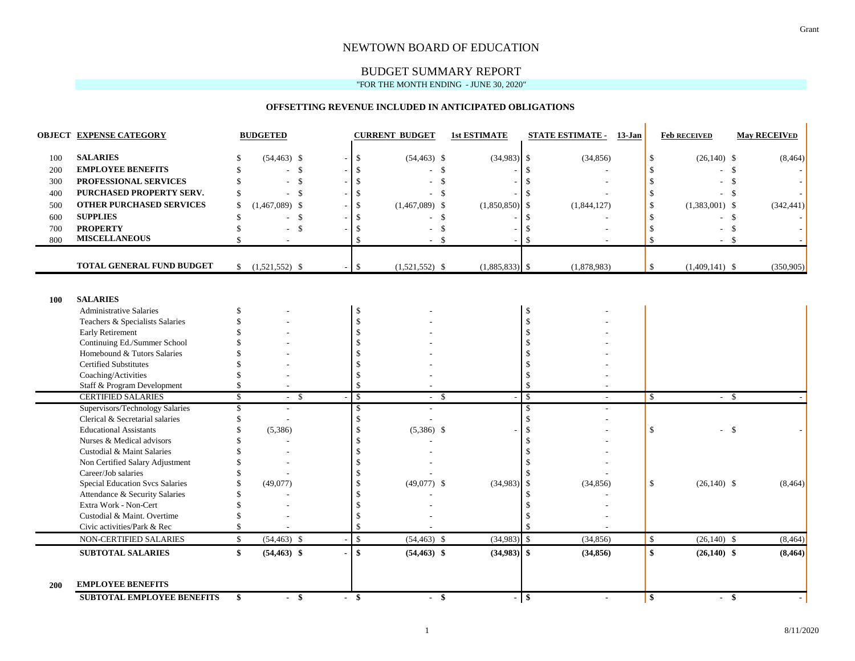#### NEWTOWN BOARD OF EDUCATION

#### BUDGET SUMMARY REPORT "FOR THE MONTH ENDING - JUNE 30, 2020"

#### **OFFSETTING REVENUE INCLUDED IN ANTICIPATED OBLIGATIONS**

|            | <b>OBJECT EXPENSE CATEGORY</b>  |              | <b>BUDGETED</b>          |        |                    | <b>CURRENT BUDGET</b> | <b>1st ESTIMATE</b> |               | <b>STATE ESTIMATE - 13-Jan</b> |               | <b>Feb RECEIVED</b> |              | <b>May RECEIVED</b> |
|------------|---------------------------------|--------------|--------------------------|--------|--------------------|-----------------------|---------------------|---------------|--------------------------------|---------------|---------------------|--------------|---------------------|
| 100        | <b>SALARIES</b>                 | \$           | $(54, 463)$ \$           |        | \$                 | $(54, 463)$ \$        | $(34,983)$ \$       |               | (34, 856)                      | \$            | $(26,140)$ \$       |              | (8, 464)            |
| 200        | <b>EMPLOYEE BENEFITS</b>        | \$           | $\mathbb{S}$             |        | $\mathbf S$        |                       | \$                  | \$.           |                                | -S            |                     | $\mathbb{S}$ |                     |
| 300        | PROFESSIONAL SERVICES           |              | $\mathcal{S}$            |        | $\mathbf S$        |                       | \$.                 |               |                                | -\$           |                     | -\$          |                     |
| 400        | PURCHASED PROPERTY SERV.        | \$           | $\mathcal{S}$            |        | \$                 |                       | -S                  | \$            |                                | <sup>\$</sup> | - \$                |              |                     |
| 500        | <b>OTHER PURCHASED SERVICES</b> | \$           | $(1,467,089)$ \$         |        | \$.                | $(1,467,089)$ \$      | (1,850,850)         | <sup>\$</sup> | (1,844,127)                    | $\mathcal{S}$ | $(1,383,001)$ \$    |              | (342, 441)          |
| 600        | <b>SUPPLIES</b>                 | \$           | $\mathcal{S}$            |        | \$                 |                       | \$                  | \$.           |                                | <sup>\$</sup> | - \$                |              |                     |
| 700        | <b>PROPERTY</b>                 |              | $\mathcal{S}$            |        | \$                 |                       | \$                  | £.            |                                | -S            |                     | -\$          |                     |
| 800        | <b>MISCELLANEOUS</b>            | \$           |                          |        | $\mathbf{\hat{S}}$ |                       | <b>S</b>            |               |                                | -\$           | ٠                   | -\$          |                     |
|            | TOTAL GENERAL FUND BUDGET       |              | $$ (1,521,552)$ \$       | $\sim$ | \$                 | $(1,521,552)$ \$      | $(1,885,833)$ \$    |               | (1,878,983)                    | \$            | $(1,409,141)$ \$    |              | (350, 905)          |
|            |                                 |              |                          |        |                    |                       |                     |               |                                |               |                     |              |                     |
| 100        | <b>SALARIES</b>                 |              |                          |        |                    |                       |                     |               |                                |               |                     |              |                     |
|            | <b>Administrative Salaries</b>  | \$           |                          |        | \$                 |                       |                     | \$            |                                |               |                     |              |                     |
|            | Teachers & Specialists Salaries |              |                          |        | $\mathcal{S}$      |                       |                     | \$            |                                |               |                     |              |                     |
|            | <b>Early Retirement</b>         |              |                          |        |                    |                       |                     | \$.           |                                |               |                     |              |                     |
|            | Continuing Ed./Summer School    |              |                          |        |                    |                       |                     |               |                                |               |                     |              |                     |
|            | Homebound & Tutors Salaries     |              |                          |        |                    |                       |                     |               |                                |               |                     |              |                     |
|            | <b>Certified Substitutes</b>    |              |                          |        |                    |                       |                     |               |                                |               |                     |              |                     |
|            | Coaching/Activities             |              |                          |        | \$.                |                       |                     | £.            |                                |               |                     |              |                     |
|            | Staff & Program Development     | \$           |                          |        | $\mathcal{S}$      |                       |                     |               |                                |               |                     |              |                     |
|            | <b>CERTIFIED SALARIES</b>       | $\mathbb{S}$ | $-$ \$                   |        | $\mathbb{S}$       | $-$ \$                |                     | \$            | ٠                              | $\mathbb{S}$  | $-$ \$              |              |                     |
|            | Supervisors/Technology Salaries | \$           | $\overline{\phantom{a}}$ |        | \$                 |                       |                     | \$            |                                |               |                     |              |                     |
|            | Clerical & Secretarial salaries |              |                          |        | \$                 |                       |                     | \$            |                                |               |                     |              |                     |
|            | <b>Educational Assistants</b>   |              | (5,386)                  |        |                    | $(5,386)$ \$          |                     |               |                                | $\mathbf S$   | $-$ \$              |              |                     |
|            | Nurses & Medical advisors       |              |                          |        |                    |                       |                     | \$.           |                                |               |                     |              |                     |
|            | Custodial & Maint Salaries      |              |                          |        | £.                 |                       |                     |               |                                |               |                     |              |                     |
|            | Non Certified Salary Adjustment |              |                          |        |                    |                       |                     |               |                                |               |                     |              |                     |
|            | Career/Job salaries             |              |                          |        |                    |                       |                     |               |                                |               |                     |              |                     |
|            | Special Education Svcs Salaries |              | (49,077)                 |        | \$                 | $(49,077)$ \$         | (34,983)            | <sup>\$</sup> | (34, 856)                      | \$            | $(26,140)$ \$       |              | (8, 464)            |
|            | Attendance & Security Salaries  |              |                          |        |                    |                       |                     | \$.           |                                |               |                     |              |                     |
|            | Extra Work - Non-Cert           |              |                          |        | S                  |                       |                     |               |                                |               |                     |              |                     |
|            | Custodial & Maint. Overtime     |              |                          |        |                    |                       |                     |               |                                |               |                     |              |                     |
|            | Civic activities/Park & Rec     |              |                          |        | \$                 |                       |                     |               |                                |               |                     |              |                     |
|            | NON-CERTIFIED SALARIES          | $\mathbb{S}$ | $(54, 463)$ \$           |        | $\mathbb S$        | $(54, 463)$ \$        | $(34,983)$ \$       |               | (34, 856)                      | $\mathbb{S}$  | $(26,140)$ \$       |              | (8, 464)            |
|            | <b>SUBTOTAL SALARIES</b>        | \$           | $(54, 463)$ \$           |        | $\mathbf{s}$       | $(54, 463)$ \$        | $(34,983)$ \$       |               | (34, 856)                      | \$            | $(26,140)$ \$       |              | (8, 464)            |
| <b>200</b> | <b>EMPLOYEE BENEFITS</b>        |              |                          |        |                    |                       |                     |               |                                |               |                     |              |                     |
|            | SUBTOTAL EMPLOYEE BENEFITS      | \$           | $-$ \$                   |        | $-$ \$             | $-$ \$                |                     | $-$ \$        | $\blacksquare$                 | $\mathbf{\$}$ | $-$ \$              |              |                     |

 $\mathbf{u}$ 

 $\mathbf{r}$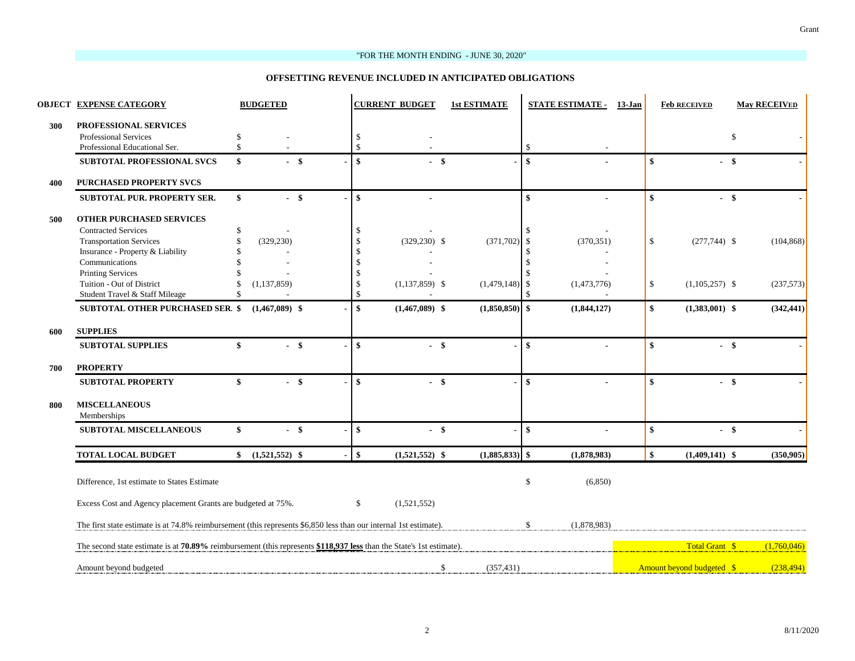#### "FOR THE MONTH ENDING - JUNE 30, 2020"

#### **OFFSETTING REVENUE INCLUDED IN ANTICIPATED OBLIGATIONS**

|     | <b>OBJECT EXPENSE CATEGORY</b>                                                                                       |                    | <b>BUDGETED</b>  |        |                    | <b>CURRENT BUDGET</b> | <b>1st ESTIMATE</b> | <b>STATE ESTIMATE -</b>     | 13-Jan |                        | <b>Feb RECEIVED</b>              |              | <b>May RECEIVED</b> |
|-----|----------------------------------------------------------------------------------------------------------------------|--------------------|------------------|--------|--------------------|-----------------------|---------------------|-----------------------------|--------|------------------------|----------------------------------|--------------|---------------------|
| 300 | PROFESSIONAL SERVICES                                                                                                |                    |                  |        |                    |                       |                     |                             |        |                        |                                  |              |                     |
|     | Professional Services                                                                                                | \$                 |                  |        | <sup>\$</sup>      |                       |                     |                             |        |                        |                                  | $\mathbb{S}$ |                     |
|     | Professional Educational Ser.                                                                                        | \$                 |                  |        | $\mathcal{S}$      |                       |                     | <sup>\$</sup>               |        |                        |                                  |              |                     |
|     | <b>SUBTOTAL PROFESSIONAL SVCS</b>                                                                                    | \$                 |                  | $-$ \$ | $\mathbf{s}$       | $-$ \$                |                     | $\mathbf{\$}$               |        | $\mathbf{s}$           | - \$                             |              |                     |
| 400 | <b>PURCHASED PROPERTY SVCS</b>                                                                                       |                    |                  |        |                    |                       |                     |                             |        |                        |                                  |              |                     |
|     | SUBTOTAL PUR. PROPERTY SER.                                                                                          | $\mathbf{\hat{s}}$ |                  | $-$ \$ | $\mathbf{s}$       |                       |                     | $\mathbf{\$}$               |        | $\boldsymbol{\hat{s}}$ | - \$                             |              |                     |
| 500 | <b>OTHER PURCHASED SERVICES</b>                                                                                      |                    |                  |        |                    |                       |                     |                             |        |                        |                                  |              |                     |
|     | <b>Contracted Services</b>                                                                                           | \$                 |                  |        | -S                 |                       |                     |                             |        |                        |                                  |              |                     |
|     | <b>Transportation Services</b>                                                                                       | \$                 | (329, 230)       |        | <sup>\$</sup>      | $(329, 230)$ \$       | (371, 702)          | <sup>\$</sup><br>(370, 351) |        | $\mathbb{S}$           | $(277,744)$ \$                   |              | (104, 868)          |
|     | Insurance - Property & Liability                                                                                     |                    |                  |        | <sup>\$</sup>      |                       |                     | -S                          |        |                        |                                  |              |                     |
|     | Communications                                                                                                       |                    |                  |        |                    |                       |                     | <sup>\$</sup>               |        |                        |                                  |              |                     |
|     | <b>Printing Services</b>                                                                                             |                    |                  |        | £.                 |                       |                     |                             |        |                        |                                  |              |                     |
|     | Tuition - Out of District                                                                                            | \$                 | (1, 137, 859)    |        | S                  | $(1,137,859)$ \$      | (1,479,148)         | (1,473,776)<br>\$           |        | \$                     | $(1,105,257)$ \$                 |              | (237,573)           |
|     | Student Travel & Staff Mileage                                                                                       | \$                 |                  |        | <sup>\$</sup>      |                       |                     |                             |        |                        |                                  |              |                     |
|     | <b>SUBTOTAL OTHER PURCHASED SER. \$</b>                                                                              |                    | $(1,467,089)$ \$ |        | \$                 | $(1,467,089)$ \$      | $(1,850,850)$ \$    | (1,844,127)                 |        | \$                     | $(1,383,001)$ \$                 |              | (342, 441)          |
| 600 | <b>SUPPLIES</b>                                                                                                      |                    |                  |        |                    |                       |                     |                             |        |                        |                                  |              |                     |
|     | <b>SUBTOTAL SUPPLIES</b>                                                                                             | \$                 |                  | $-$ \$ | $\mathbf{\hat{s}}$ | - \$                  |                     | $\mathbf{\$}$               |        | $\mathbf{s}$           | $-$ \$                           |              |                     |
| 700 | <b>PROPERTY</b>                                                                                                      |                    |                  |        |                    |                       |                     |                             |        |                        |                                  |              |                     |
|     | <b>SUBTOTAL PROPERTY</b>                                                                                             | \$                 |                  | $-$ \$ | $\mathbf{s}$       | - \$                  |                     | $\mathbf{s}$                |        | $\mathbf{s}$           | - \$                             |              |                     |
| 800 | <b>MISCELLANEOUS</b>                                                                                                 |                    |                  |        |                    |                       |                     |                             |        |                        |                                  |              |                     |
|     | Memberships                                                                                                          |                    |                  |        |                    |                       |                     |                             |        |                        |                                  |              |                     |
|     | SUBTOTAL MISCELLANEOUS                                                                                               | \$                 |                  | $-$ \$ | $\mathbf{s}$       | $-$ \$                |                     | \$                          |        | \$                     | $-$ \$                           |              |                     |
|     | <b>TOTAL LOCAL BUDGET</b>                                                                                            | \$                 | $(1,521,552)$ \$ |        | $\mathbf{\hat{s}}$ | $(1,521,552)$ \$      | $(1,885,833)$ \$    | (1,878,983)                 |        | $\mathbf{s}$           | $(1,409,141)$ \$                 |              | (350, 905)          |
|     |                                                                                                                      |                    |                  |        |                    |                       |                     |                             |        |                        |                                  |              |                     |
|     | Difference, 1st estimate to States Estimate                                                                          |                    |                  |        |                    |                       |                     | $\mathcal{S}$<br>(6,850)    |        |                        |                                  |              |                     |
|     | Excess Cost and Agency placement Grants are budgeted at 75%.                                                         |                    |                  |        | \$                 | (1,521,552)           |                     |                             |        |                        |                                  |              |                     |
|     | The first state estimate is at 74.8% reimbursement (this represents \$6,850 less than our internal 1st estimate).    |                    |                  |        |                    |                       |                     | \$<br>(1,878,983)           |        |                        |                                  |              |                     |
|     | The second state estimate is at 70.89% reimbursement (this represents \$118,937 less than the State's 1st estimate). |                    |                  |        |                    |                       |                     |                             |        |                        | Total Grant \$                   |              | (1,760,046)         |
|     | Amount beyond budgeted                                                                                               |                    |                  |        |                    |                       | \$<br>(357, 431)    |                             |        |                        | <b>Amount beyond budgeted \$</b> |              | (238, 494)          |
|     |                                                                                                                      |                    |                  |        |                    |                       |                     |                             |        |                        |                                  |              |                     |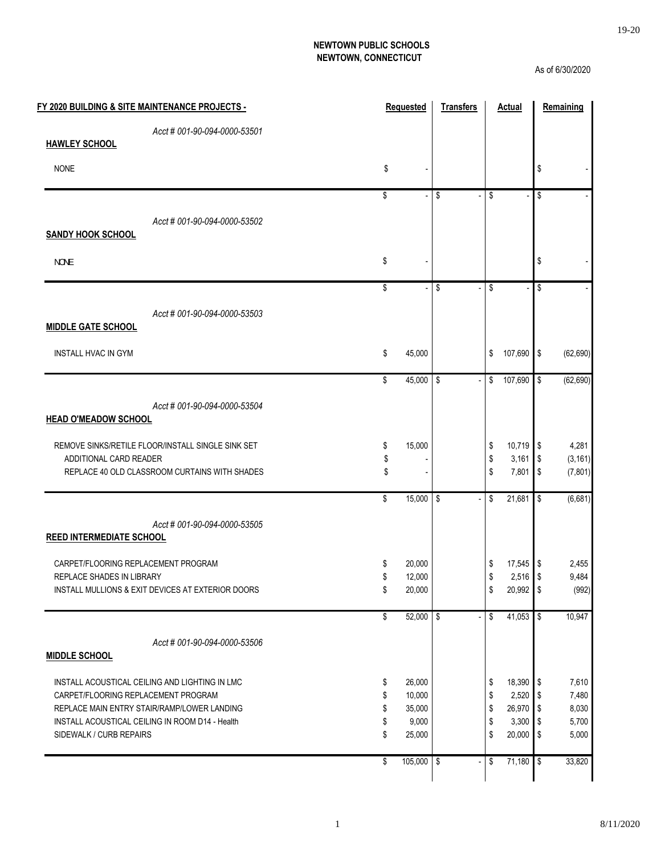#### **NEWTOWN PUBLIC SCHOOLS NEWTOWN, CONNECTICUT**

As of 6/30/2020

|                                     | FY 2020 BUILDING & SITE MAINTENANCE PROJECTS -    | <b>Requested</b>  | <b>Transfers</b> | <b>Actual</b>     |                         | Remaining |
|-------------------------------------|---------------------------------------------------|-------------------|------------------|-------------------|-------------------------|-----------|
|                                     | Acct # 001-90-094-0000-53501                      |                   |                  |                   |                         |           |
| <b>HAWLEY SCHOOL</b>                |                                                   |                   |                  |                   |                         |           |
| <b>NONE</b>                         |                                                   | \$                |                  |                   | \$                      |           |
|                                     |                                                   | \$                | \$               | \$                | $\overline{\mathsf{s}}$ |           |
|                                     | Acct # 001-90-094-0000-53502                      |                   |                  |                   |                         |           |
| <b>SANDY HOOK SCHOOL</b>            |                                                   |                   |                  |                   |                         |           |
| <b>NOVE</b>                         |                                                   | \$                |                  |                   | \$                      |           |
|                                     |                                                   |                   |                  |                   |                         |           |
|                                     |                                                   | \$                | \$               | \$                | \$                      |           |
|                                     | Acct # 001-90-094-0000-53503                      |                   |                  |                   |                         |           |
| <b>MIDDLE GATE SCHOOL</b>           |                                                   |                   |                  |                   |                         |           |
| <b>INSTALL HVAC IN GYM</b>          |                                                   | \$<br>45,000      |                  | \$<br>107,690 \$  |                         | (62, 690) |
|                                     |                                                   | \$<br>45,000 \$   |                  | \$<br>107,690     | \$                      | (62, 690) |
|                                     | Acct # 001-90-094-0000-53504                      |                   |                  |                   |                         |           |
| <b>HEAD O'MEADOW SCHOOL</b>         |                                                   |                   |                  |                   |                         |           |
|                                     | REMOVE SINKS/RETILE FLOOR/INSTALL SINGLE SINK SET | \$<br>15,000      |                  | \$<br>10,719 \$   |                         | 4,281     |
| ADDITIONAL CARD READER              |                                                   | \$                |                  | \$<br>$3,161$ \$  |                         | (3, 161)  |
|                                     | REPLACE 40 OLD CLASSROOM CURTAINS WITH SHADES     | \$                |                  | \$<br>7,801       | \$                      | (7, 801)  |
|                                     |                                                   | \$<br>$15,000$ \$ |                  | \$<br>21,681      | \$                      | (6,681)   |
|                                     | Acct # 001-90-094-0000-53505                      |                   |                  |                   |                         |           |
| <b>REED INTERMEDIATE SCHOOL</b>     |                                                   |                   |                  |                   |                         |           |
| CARPET/FLOORING REPLACEMENT PROGRAM |                                                   | \$<br>20,000      |                  | \$<br>$17,545$ \$ |                         | 2,455     |
| REPLACE SHADES IN LIBRARY           |                                                   | \$<br>12,000      |                  | \$<br>$2,516$ \$  |                         | 9,484     |
|                                     | INSTALL MULLIONS & EXIT DEVICES AT EXTERIOR DOORS | \$<br>20,000      |                  | \$<br>20,992 \$   |                         | (992)     |
|                                     |                                                   | \$<br>52,000 \$   |                  | \$<br>41,053      | $\sqrt[6]{\frac{1}{2}}$ | 10,947    |
|                                     | Acct # 001-90-094-0000-53506                      |                   |                  |                   |                         |           |
| <b>MIDDLE SCHOOL</b>                |                                                   |                   |                  |                   |                         |           |
|                                     | INSTALL ACOUSTICAL CEILING AND LIGHTING IN LMC    | \$<br>26,000      |                  | \$<br>18,390      | $\sqrt{2}$              | 7,610     |
| CARPET/FLOORING REPLACEMENT PROGRAM |                                                   | \$<br>10,000      |                  | \$<br>2,520       | \$                      | 7,480     |
|                                     | REPLACE MAIN ENTRY STAIR/RAMP/LOWER LANDING       | \$<br>35,000      |                  | \$<br>26,970      | \$                      | 8,030     |
|                                     | INSTALL ACOUSTICAL CEILING IN ROOM D14 - Health   | \$<br>9,000       |                  | \$<br>3,300       | \$                      | 5,700     |
| SIDEWALK / CURB REPAIRS             |                                                   | \$<br>25,000      |                  | \$<br>20,000      | \$                      | 5,000     |
|                                     |                                                   | \$<br>105,000 \$  |                  | \$<br>$71,180$ \$ |                         | 33,820    |
|                                     |                                                   |                   |                  |                   |                         |           |